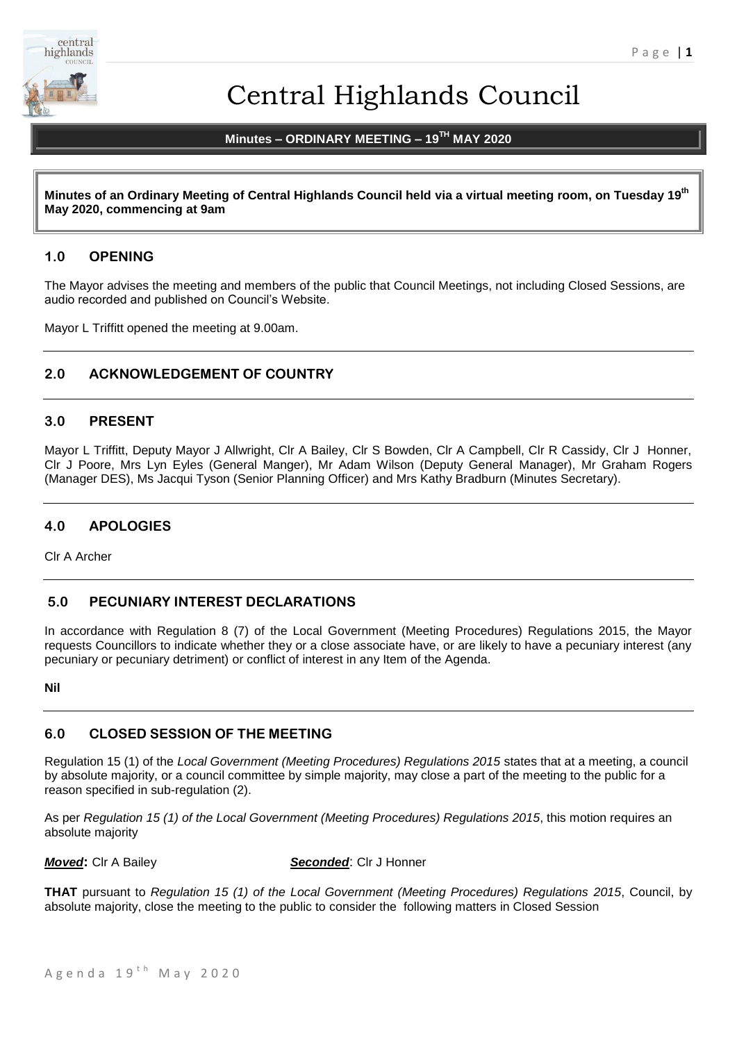

# Central Highlands Council

# **Minutes – ORDINARY MEETING – 19TH MAY 2020**

**Minutes of an Ordinary Meeting of Central Highlands Council held via a virtual meeting room, on Tuesday 19th May 2020, commencing at 9am**

# **1.0 OPENING**

The Mayor advises the meeting and members of the public that Council Meetings, not including Closed Sessions, are audio recorded and published on Council's Website.

Mayor L Triffitt opened the meeting at 9.00am.

# **2.0 ACKNOWLEDGEMENT OF COUNTRY**

#### **3.0 PRESENT**

Mayor L Triffitt, Deputy Mayor J Allwright, Clr A Bailey, Clr S Bowden, Clr A Campbell, Clr R Cassidy, Clr J Honner, Clr J Poore, Mrs Lyn Eyles (General Manger), Mr Adam Wilson (Deputy General Manager), Mr Graham Rogers (Manager DES), Ms Jacqui Tyson (Senior Planning Officer) and Mrs Kathy Bradburn (Minutes Secretary).

# **4.0 APOLOGIES**

Clr A Archer

# **5.0 PECUNIARY INTEREST DECLARATIONS**

In accordance with Regulation 8 (7) of the Local Government (Meeting Procedures) Regulations 2015, the Mayor requests Councillors to indicate whether they or a close associate have, or are likely to have a pecuniary interest (any pecuniary or pecuniary detriment) or conflict of interest in any Item of the Agenda.

**Nil**

# **6.0 CLOSED SESSION OF THE MEETING**

Regulation 15 (1) of the *Local Government (Meeting Procedures) Regulations 2015* states that at a meeting, a council by absolute majority, or a council committee by simple majority, may close a part of the meeting to the public for a reason specified in sub-regulation (2).

As per *Regulation 15 (1) of the Local Government (Meeting Procedures) Regulations 2015*, this motion requires an absolute majority

*Moved***:** Clr A Bailey *Seconded*: Clr J Honner

**THAT** pursuant to *Regulation 15 (1) of the Local Government (Meeting Procedures) Regulations 2015*, Council, by absolute majority, close the meeting to the public to consider the following matters in Closed Session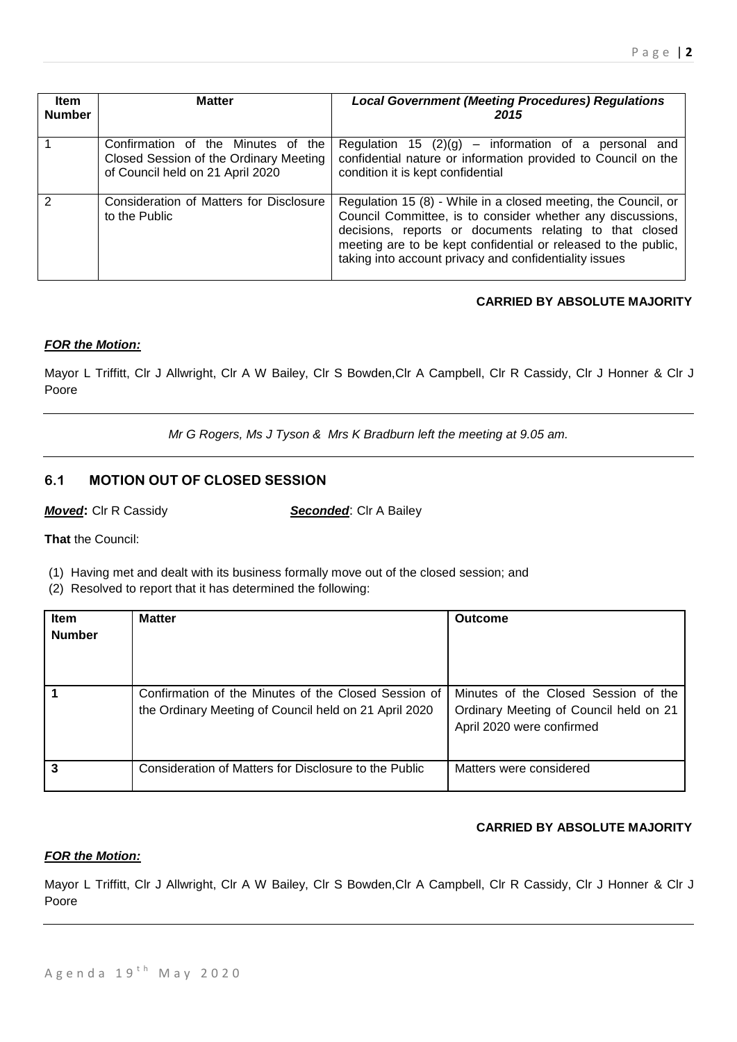| ltem<br><b>Number</b> | <b>Matter</b>                                                                                                    | <b>Local Government (Meeting Procedures) Regulations</b><br>2015                                                                                                                                                                                                                                                    |
|-----------------------|------------------------------------------------------------------------------------------------------------------|---------------------------------------------------------------------------------------------------------------------------------------------------------------------------------------------------------------------------------------------------------------------------------------------------------------------|
|                       | Confirmation of the Minutes of the<br>Closed Session of the Ordinary Meeting<br>of Council held on 21 April 2020 | Regulation 15 $(2)(g)$ – information of a personal and<br>confidential nature or information provided to Council on the<br>condition it is kept confidential                                                                                                                                                        |
| 2                     | Consideration of Matters for Disclosure<br>to the Public                                                         | Regulation 15 (8) - While in a closed meeting, the Council, or<br>Council Committee, is to consider whether any discussions,<br>decisions, reports or documents relating to that closed<br>meeting are to be kept confidential or released to the public,<br>taking into account privacy and confidentiality issues |

# **CARRIED BY ABSOLUTE MAJORITY**

# *FOR the Motion:*

Mayor L Triffitt, Clr J Allwright, Clr A W Bailey, Clr S Bowden,Clr A Campbell, Clr R Cassidy, Clr J Honner & Clr J Poore

*Mr G Rogers, Ms J Tyson & Mrs K Bradburn left the meeting at 9.05 am.*

# **6.1 MOTION OUT OF CLOSED SESSION**

**Moved:** Clr R Cassidy **Seconded:** Clr A Bailey

**That** the Council:

(1) Having met and dealt with its business formally move out of the closed session; and

(2) Resolved to report that it has determined the following:

| <b>Item</b><br><b>Number</b> | <b>Matter</b>                                                                                                 | <b>Outcome</b>                                                                                              |
|------------------------------|---------------------------------------------------------------------------------------------------------------|-------------------------------------------------------------------------------------------------------------|
|                              | Confirmation of the Minutes of the Closed Session of<br>the Ordinary Meeting of Council held on 21 April 2020 | Minutes of the Closed Session of the<br>Ordinary Meeting of Council held on 21<br>April 2020 were confirmed |
|                              | Consideration of Matters for Disclosure to the Public                                                         | Matters were considered                                                                                     |

# **CARRIED BY ABSOLUTE MAJORITY**

# *FOR the Motion:*

Mayor L Triffitt, Clr J Allwright, Clr A W Bailey, Clr S Bowden,Clr A Campbell, Clr R Cassidy, Clr J Honner & Clr J Poore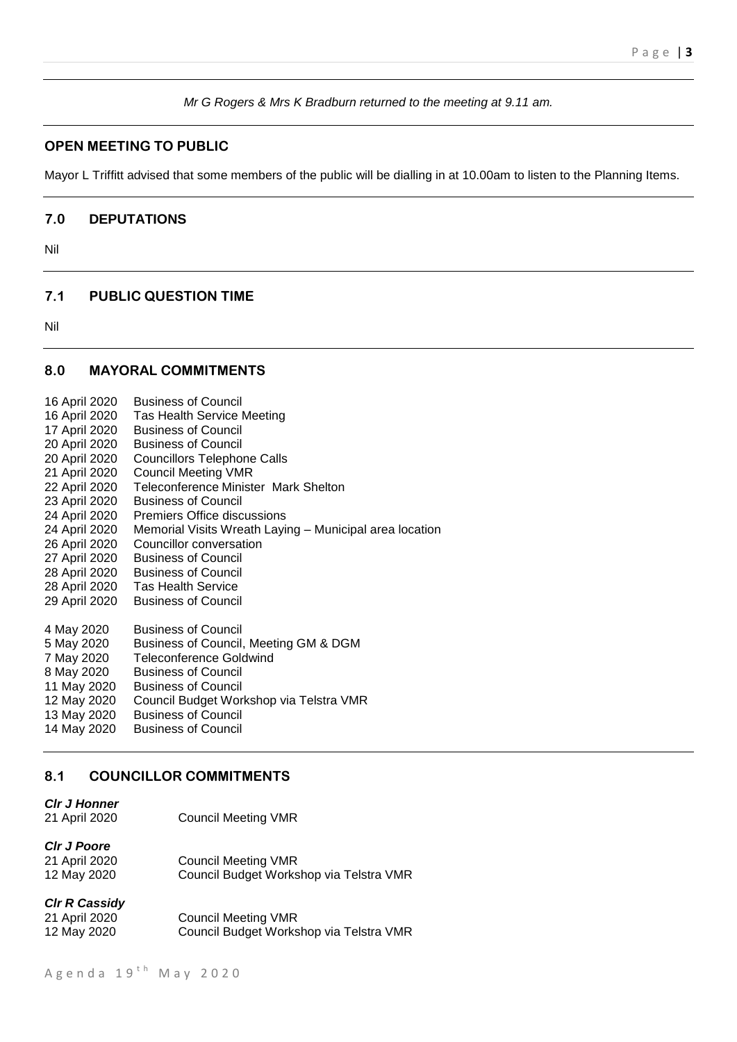*Mr G Rogers & Mrs K Bradburn returned to the meeting at 9.11 am.*

# **OPEN MEETING TO PUBLIC**

Mayor L Triffitt advised that some members of the public will be dialling in at 10.00am to listen to the Planning Items.

#### **7.0 DEPUTATIONS**

Nil

# **7.1 PUBLIC QUESTION TIME**

Nil

# **8.0 MAYORAL COMMITMENTS**

| 16 April 2020 | <b>Business of Council</b>                              |
|---------------|---------------------------------------------------------|
| 16 April 2020 | <b>Tas Health Service Meeting</b>                       |
| 17 April 2020 | <b>Business of Council</b>                              |
| 20 April 2020 | <b>Business of Council</b>                              |
| 20 April 2020 | Councillors Telephone Calls                             |
| 21 April 2020 | <b>Council Meeting VMR</b>                              |
| 22 April 2020 | Teleconference Minister Mark Shelton                    |
| 23 April 2020 | <b>Business of Council</b>                              |
| 24 April 2020 | <b>Premiers Office discussions</b>                      |
| 24 April 2020 | Memorial Visits Wreath Laying - Municipal area location |
| 26 April 2020 | Councillor conversation                                 |
| 27 April 2020 | <b>Business of Council</b>                              |
| 28 April 2020 | <b>Business of Council</b>                              |
| 28 April 2020 | <b>Tas Health Service</b>                               |
| 29 April 2020 | <b>Business of Council</b>                              |
| 4 May 2020    | <b>Business of Council</b>                              |
| 5 May 2020    | Business of Council, Meeting GM & DGM                   |
| 7 May 2020    | <b>Teleconference Goldwind</b>                          |
| 8 May 2020    | <b>Business of Council</b>                              |
| 11 May 2020   | <b>Business of Council</b>                              |
| 12 May 2020   | Council Budget Workshop via Telstra VMR                 |
| 13 May 2020   | <b>Business of Council</b>                              |
| 14 May 2020   | <b>Business of Council</b>                              |

# **8.1 COUNCILLOR COMMITMENTS**

| <b>CIr J Honner</b> |                            |
|---------------------|----------------------------|
| 21 April 2020       | <b>Council Meeting VMR</b> |

| CIr J Poore   |                                         |
|---------------|-----------------------------------------|
| 21 April 2020 | <b>Council Meeting VMR</b>              |
| 12 May 2020   | Council Budget Workshop via Telstra VMR |

*Clr R Cassidy*

| 21 April 2020 | <b>Council Meeting VMR</b>              |
|---------------|-----------------------------------------|
| 12 May 2020   | Council Budget Workshop via Telstra VMR |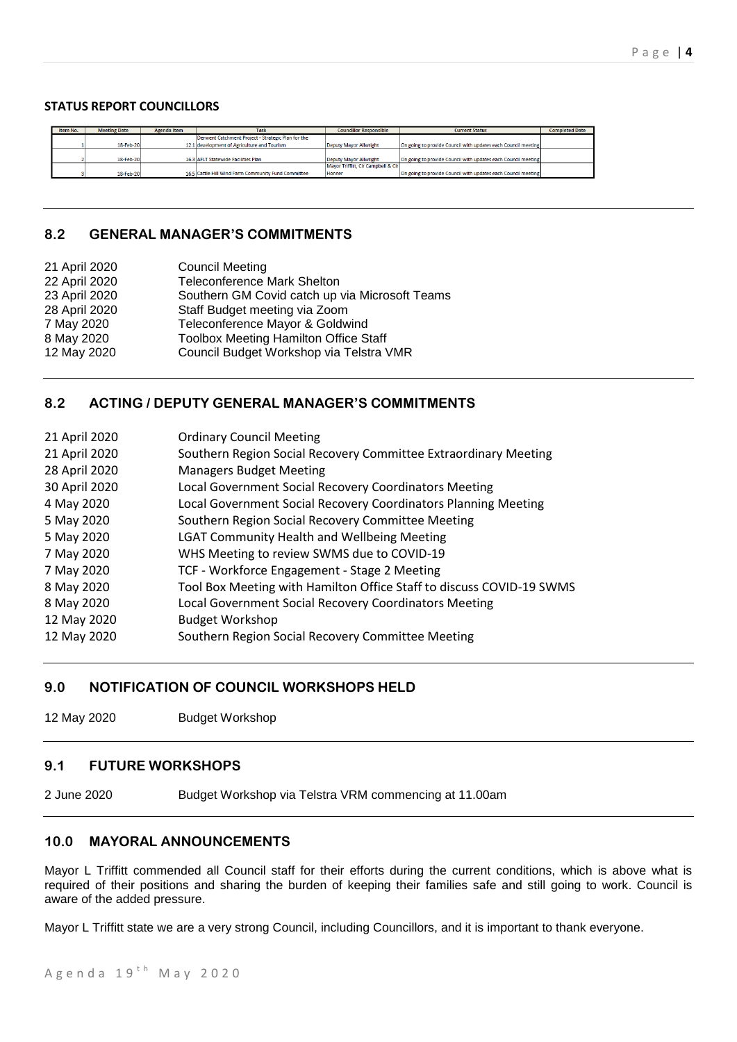### **STATUS REPORT COUNCILLORS**

| Item No. | <b>Meeting Date</b> | Agenda Item | <b>Task</b>                                         | <b>Councillor Responsible</b>      | <b>Current Status</b>                                         | <b>Completed Date</b> |
|----------|---------------------|-------------|-----------------------------------------------------|------------------------------------|---------------------------------------------------------------|-----------------------|
|          |                     |             | Derwent Catchment Project - Strategic Plan for the  |                                    |                                                               |                       |
|          | 18-Feb-20           |             | 12.1 development of Agriculture and Tourism         | Deputy Mayor Allwright             | On going to provide Council with updates each Council meeting |                       |
|          |                     |             |                                                     |                                    |                                                               |                       |
|          | 18-Feb-20           |             | 16.3 AFLT Statewide Facilities Plan                 | Deputy Mayor Allwright             | On going to provide Council with updates each Council meeting |                       |
|          |                     |             |                                                     | Mayor Triffitt, CIr Campbell & CIr |                                                               |                       |
|          | 18-Feb-20           |             | 16.5 Cattle Hill Wind Farm Community Fund Committee | Honner                             | On going to provide Council with updates each Council meeting |                       |

# **8.2 GENERAL MANAGER'S COMMITMENTS**

| 21 April 2020 | <b>Council Meeting</b>                         |
|---------------|------------------------------------------------|
| 22 April 2020 | <b>Teleconference Mark Shelton</b>             |
| 23 April 2020 | Southern GM Covid catch up via Microsoft Teams |
| 28 April 2020 | Staff Budget meeting via Zoom                  |
| 7 May 2020    | Teleconference Mayor & Goldwind                |
| 8 May 2020    | <b>Toolbox Meeting Hamilton Office Staff</b>   |
| 12 May 2020   | Council Budget Workshop via Telstra VMR        |
|               |                                                |

# **8.2 ACTING / DEPUTY GENERAL MANAGER'S COMMITMENTS**

| 21 April 2020 | <b>Ordinary Council Meeting</b>                                      |
|---------------|----------------------------------------------------------------------|
| 21 April 2020 | Southern Region Social Recovery Committee Extraordinary Meeting      |
| 28 April 2020 | <b>Managers Budget Meeting</b>                                       |
| 30 April 2020 | Local Government Social Recovery Coordinators Meeting                |
| 4 May 2020    | Local Government Social Recovery Coordinators Planning Meeting       |
| 5 May 2020    | Southern Region Social Recovery Committee Meeting                    |
| 5 May 2020    | <b>LGAT Community Health and Wellbeing Meeting</b>                   |
| 7 May 2020    | WHS Meeting to review SWMS due to COVID-19                           |
| 7 May 2020    | TCF - Workforce Engagement - Stage 2 Meeting                         |
| 8 May 2020    | Tool Box Meeting with Hamilton Office Staff to discuss COVID-19 SWMS |
| 8 May 2020    | Local Government Social Recovery Coordinators Meeting                |
| 12 May 2020   | <b>Budget Workshop</b>                                               |
| 12 May 2020   | Southern Region Social Recovery Committee Meeting                    |

# **9.0 NOTIFICATION OF COUNCIL WORKSHOPS HELD**

12 May 2020 Budget Workshop

# **9.1 FUTURE WORKSHOPS**

2 June 2020 Budget Workshop via Telstra VRM commencing at 11.00am

# **10.0 MAYORAL ANNOUNCEMENTS**

Mayor L Triffitt commended all Council staff for their efforts during the current conditions, which is above what is required of their positions and sharing the burden of keeping their families safe and still going to work. Council is aware of the added pressure.

Mayor L Triffitt state we are a very strong Council, including Councillors, and it is important to thank everyone.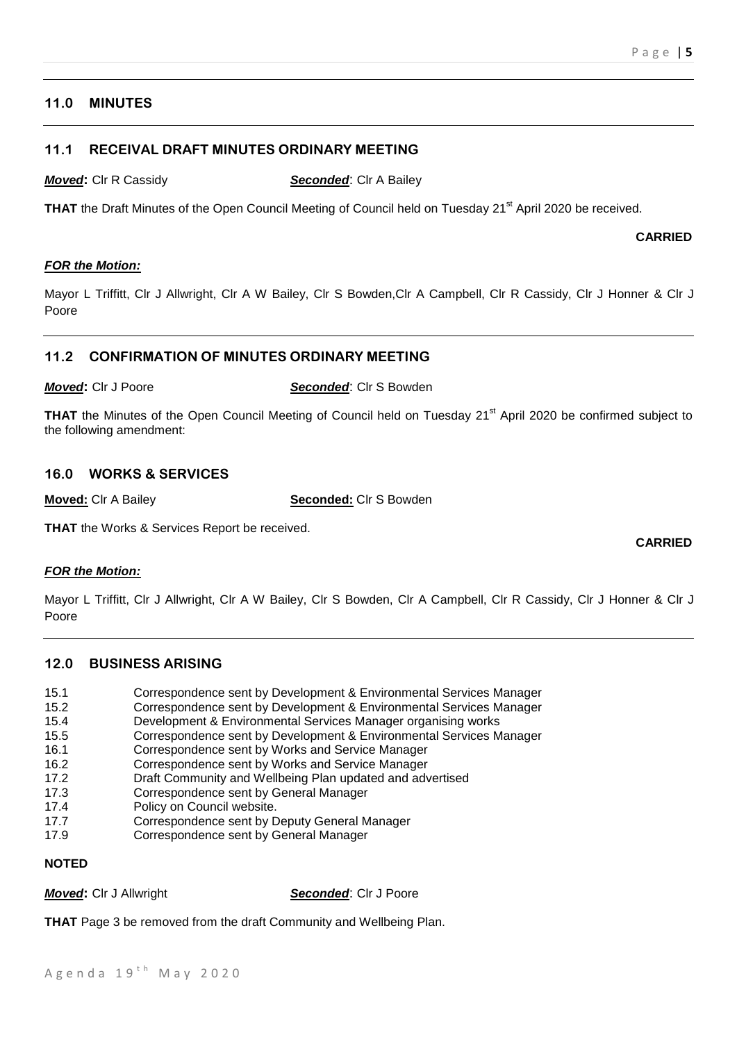# **11.0 MINUTES**

# **11.1 RECEIVAL DRAFT MINUTES ORDINARY MEETING**

*Moved***:** Clr R Cassidy *Seconded*: Clr A Bailey

THAT the Draft Minutes of the Open Council Meeting of Council held on Tuesday 21<sup>st</sup> April 2020 be received.

**CARRIED**

**CARRIED**

# *FOR the Motion:*

Mayor L Triffitt, Clr J Allwright, Clr A W Bailey, Clr S Bowden,Clr A Campbell, Clr R Cassidy, Clr J Honner & Clr J Poore

# **11.2 CONFIRMATION OF MINUTES ORDINARY MEETING**

*Moved***:** Clr J Poore *Seconded*: Clr S Bowden

**THAT** the Minutes of the Open Council Meeting of Council held on Tuesday 21<sup>st</sup> April 2020 be confirmed subject to the following amendment:

# **16.0 WORKS & SERVICES**

**Moved:** Clr A Bailey **Seconded:** Clr S Bowden

**THAT** the Works & Services Report be received.

# *FOR the Motion:*

Mayor L Triffitt, Clr J Allwright, Clr A W Bailey, Clr S Bowden, Clr A Campbell, Clr R Cassidy, Clr J Honner & Clr J Poore

# **12.0 BUSINESS ARISING**

- 15.1 Correspondence sent by Development & Environmental Services Manager
- 15.2 Correspondence sent by Development & Environmental Services Manager
- 15.4 Development & Environmental Services Manager organising works
- 15.5 Correspondence sent by Development & Environmental Services Manager
- 16.1 Correspondence sent by Works and Service Manager
- 16.2 Correspondence sent by Works and Service Manager
- 17.2 Draft Community and Wellbeing Plan updated and advertised
- 17.3 Correspondence sent by General Manager
- 17.4 Policy on Council website.
- 17.7 Correspondence sent by Deputy General Manager
- 17.9 Correspondence sent by General Manager

# **NOTED**

*Moved***:** Clr J Allwright *Seconded*: Clr J Poore

**THAT** Page 3 be removed from the draft Community and Wellbeing Plan.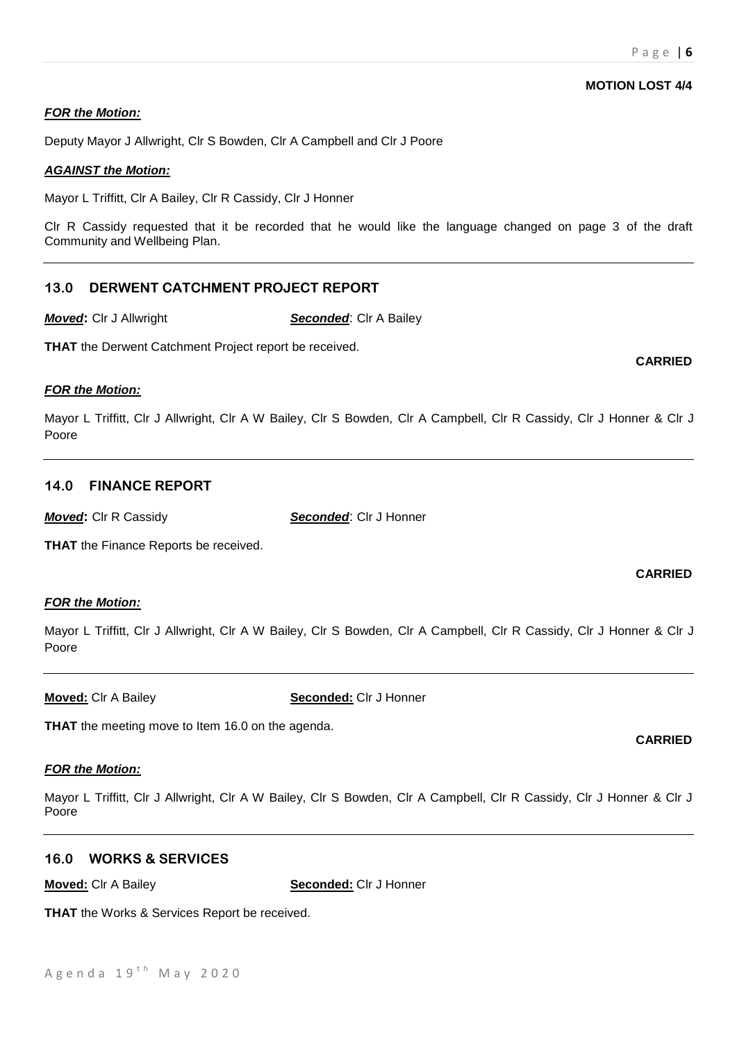**CARRIED**

# *FOR the Motion:*

Deputy Mayor J Allwright, Clr S Bowden, Clr A Campbell and Clr J Poore

#### *AGAINST the Motion:*

Mayor L Triffitt, Clr A Bailey, Clr R Cassidy, Clr J Honner

Clr R Cassidy requested that it be recorded that he would like the language changed on page 3 of the draft Community and Wellbeing Plan.

# **13.0 DERWENT CATCHMENT PROJECT REPORT**

*Moved***:** Clr J Allwright *Seconded*: Clr A Bailey

**THAT** the Derwent Catchment Project report be received.

#### *FOR the Motion:*

Mayor L Triffitt, Clr J Allwright, Clr A W Bailey, Clr S Bowden, Clr A Campbell, Clr R Cassidy, Clr J Honner & Clr J Poore

# **14.0 FINANCE REPORT**

*Moved***:** Clr R Cassidy *Seconded*: Clr J Honner

**THAT** the Finance Reports be received.

# *FOR the Motion:*

Mayor L Triffitt, Clr J Allwright, Clr A W Bailey, Clr S Bowden, Clr A Campbell, Clr R Cassidy, Clr J Honner & Clr J Poore

**Moved:** Clr A Bailey **Seconded:** Clr J Honner

**THAT** the meeting move to Item 16.0 on the agenda.

# *FOR the Motion:*

Mayor L Triffitt, Clr J Allwright, Clr A W Bailey, Clr S Bowden, Clr A Campbell, Clr R Cassidy, Clr J Honner & Clr J Poore

# **16.0 WORKS & SERVICES**

**Moved:** Clr A Bailey **Seconded:** Clr J Honner

**THAT** the Works & Services Report be received.

# **MOTION LOST 4/4**

# **CARRIED**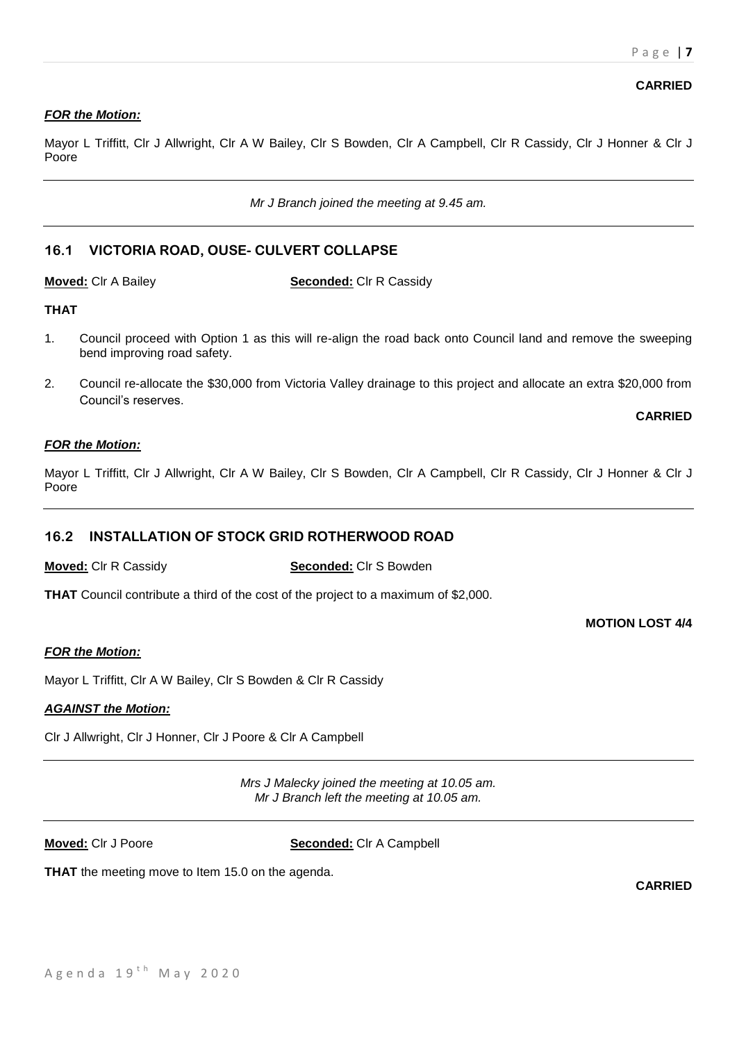# *FOR the Motion:*

Mayor L Triffitt, Clr J Allwright, Clr A W Bailey, Clr S Bowden, Clr A Campbell, Clr R Cassidy, Clr J Honner & Clr J Poore

*Mr J Branch joined the meeting at 9.45 am.*

# **16.1 VICTORIA ROAD, OUSE- CULVERT COLLAPSE**

**Moved:** Clr A Bailey **Seconded:** Clr R Cassidy

# **THAT**

- 1. Council proceed with Option 1 as this will re-align the road back onto Council land and remove the sweeping bend improving road safety.
- 2. Council re-allocate the \$30,000 from Victoria Valley drainage to this project and allocate an extra \$20,000 from Council's reserves.

**CARRIED**

#### *FOR the Motion:*

Mayor L Triffitt, Clr J Allwright, Clr A W Bailey, Clr S Bowden, Clr A Campbell, Clr R Cassidy, Clr J Honner & Clr J Poore

# **16.2 INSTALLATION OF STOCK GRID ROTHERWOOD ROAD**

### **Moved:** Clr R Cassidy **Seconded:** Clr S Bowden

**THAT** Council contribute a third of the cost of the project to a maximum of \$2,000.

**MOTION LOST 4/4**

#### *FOR the Motion:*

Mayor L Triffitt, Clr A W Bailey, Clr S Bowden & Clr R Cassidy

#### *AGAINST the Motion:*

Clr J Allwright, Clr J Honner, Clr J Poore & Clr A Campbell

*Mrs J Malecky joined the meeting at 10.05 am. Mr J Branch left the meeting at 10.05 am.*

**Moved:** Clr J Poore **Seconded:** Clr A Campbell

**THAT** the meeting move to Item 15.0 on the agenda.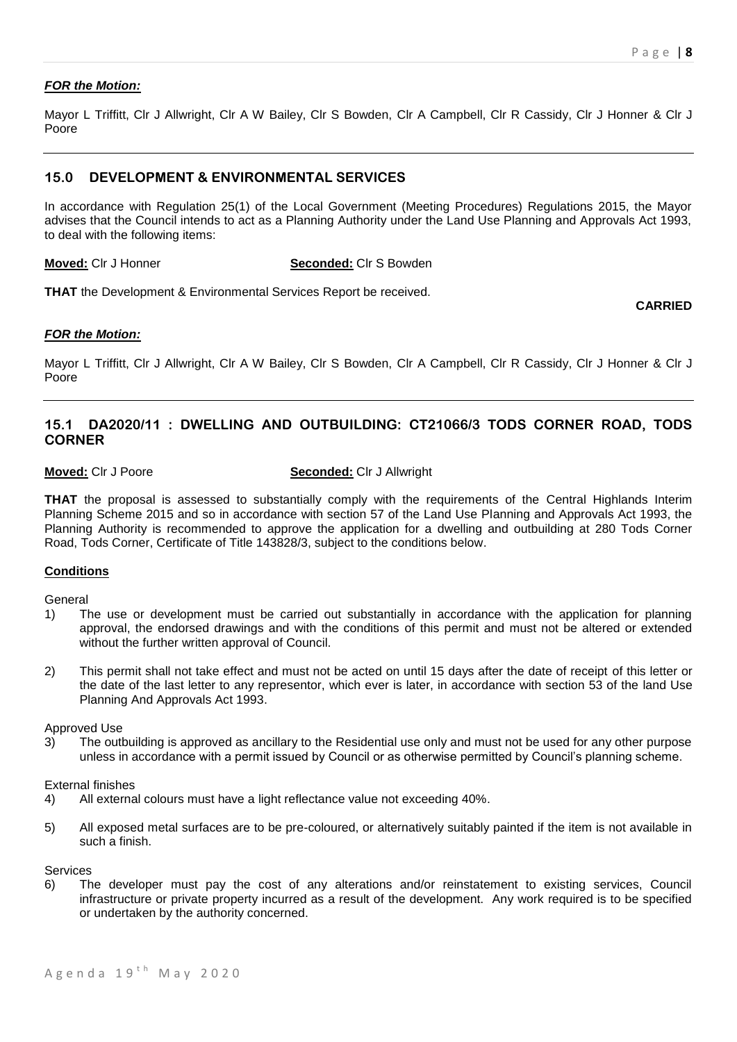**CARRIED**

#### *FOR the Motion:*

Mayor L Triffitt, Clr J Allwright, Clr A W Bailey, Clr S Bowden, Clr A Campbell, Clr R Cassidy, Clr J Honner & Clr J Poore

# **15.0 DEVELOPMENT & ENVIRONMENTAL SERVICES**

In accordance with Regulation 25(1) of the Local Government (Meeting Procedures) Regulations 2015, the Mayor advises that the Council intends to act as a Planning Authority under the Land Use Planning and Approvals Act 1993, to deal with the following items:

#### **Moved:** Clr J Honner **Seconded:** Clr S Bowden

**THAT** the Development & Environmental Services Report be received.

#### *FOR the Motion:*

Mayor L Triffitt, Clr J Allwright, Clr A W Bailey, Clr S Bowden, Clr A Campbell, Clr R Cassidy, Clr J Honner & Clr J Poore

# **15.1 DA2020/11 : DWELLING AND OUTBUILDING: CT21066/3 TODS CORNER ROAD, TODS CORNER**

#### **Moved:** Clr J Poore **Seconded:** Clr J Allwright

**THAT** the proposal is assessed to substantially comply with the requirements of the Central Highlands Interim Planning Scheme 2015 and so in accordance with section 57 of the Land Use Planning and Approvals Act 1993, the Planning Authority is recommended to approve the application for a dwelling and outbuilding at 280 Tods Corner Road, Tods Corner, Certificate of Title 143828/3, subject to the conditions below.

#### **Conditions**

General

- 1) The use or development must be carried out substantially in accordance with the application for planning approval, the endorsed drawings and with the conditions of this permit and must not be altered or extended without the further written approval of Council.
- 2) This permit shall not take effect and must not be acted on until 15 days after the date of receipt of this letter or the date of the last letter to any representor, which ever is later, in accordance with section 53 of the land Use Planning And Approvals Act 1993.

#### Approved Use

3) The outbuilding is approved as ancillary to the Residential use only and must not be used for any other purpose unless in accordance with a permit issued by Council or as otherwise permitted by Council's planning scheme.

#### External finishes

- 4) All external colours must have a light reflectance value not exceeding 40%.
- 5) All exposed metal surfaces are to be pre-coloured, or alternatively suitably painted if the item is not available in such a finish.

#### Services

6) The developer must pay the cost of any alterations and/or reinstatement to existing services, Council infrastructure or private property incurred as a result of the development. Any work required is to be specified or undertaken by the authority concerned.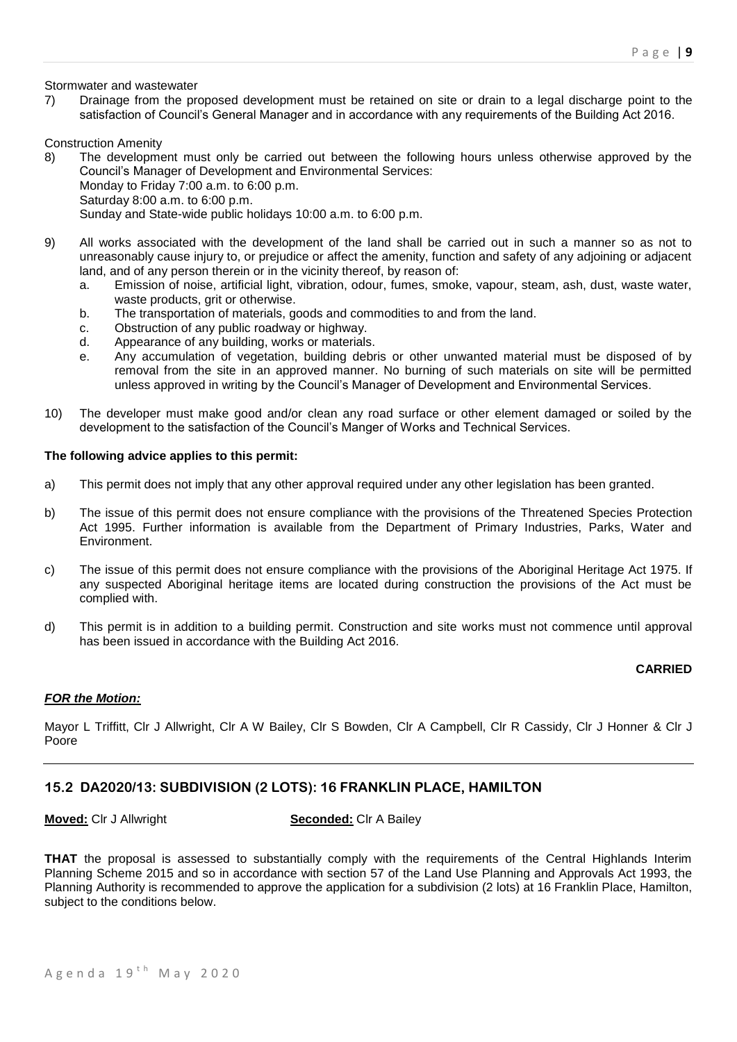#### Stormwater and wastewater

7) Drainage from the proposed development must be retained on site or drain to a legal discharge point to the satisfaction of Council's General Manager and in accordance with any requirements of the Building Act 2016.

#### Construction Amenity

- 8) The development must only be carried out between the following hours unless otherwise approved by the Council's Manager of Development and Environmental Services: Monday to Friday 7:00 a.m. to 6:00 p.m. Saturday 8:00 a.m. to 6:00 p.m. Sunday and State-wide public holidays 10:00 a.m. to 6:00 p.m.
- 9) All works associated with the development of the land shall be carried out in such a manner so as not to unreasonably cause injury to, or prejudice or affect the amenity, function and safety of any adjoining or adjacent land, and of any person therein or in the vicinity thereof, by reason of:
	- a. Emission of noise, artificial light, vibration, odour, fumes, smoke, vapour, steam, ash, dust, waste water, waste products, grit or otherwise.
	- b. The transportation of materials, goods and commodities to and from the land.
	- c. Obstruction of any public roadway or highway.
	- d. Appearance of any building, works or materials.
	- e. Any accumulation of vegetation, building debris or other unwanted material must be disposed of by removal from the site in an approved manner. No burning of such materials on site will be permitted unless approved in writing by the Council's Manager of Development and Environmental Services.
- 10) The developer must make good and/or clean any road surface or other element damaged or soiled by the development to the satisfaction of the Council's Manger of Works and Technical Services.

#### **The following advice applies to this permit:**

- a) This permit does not imply that any other approval required under any other legislation has been granted.
- b) The issue of this permit does not ensure compliance with the provisions of the Threatened Species Protection Act 1995. Further information is available from the Department of Primary Industries, Parks, Water and Environment.
- c) The issue of this permit does not ensure compliance with the provisions of the Aboriginal Heritage Act 1975. If any suspected Aboriginal heritage items are located during construction the provisions of the Act must be complied with.
- d) This permit is in addition to a building permit. Construction and site works must not commence until approval has been issued in accordance with the Building Act 2016.

# **CARRIED**

#### *FOR the Motion:*

Mayor L Triffitt, Clr J Allwright, Clr A W Bailey, Clr S Bowden, Clr A Campbell, Clr R Cassidy, Clr J Honner & Clr J Poore

# **15.2 DA2020/13: SUBDIVISION (2 LOTS): 16 FRANKLIN PLACE, HAMILTON**

#### **Moved:** Clr J Allwright **Seconded:** Clr A Bailey

**THAT** the proposal is assessed to substantially comply with the requirements of the Central Highlands Interim Planning Scheme 2015 and so in accordance with section 57 of the Land Use Planning and Approvals Act 1993, the Planning Authority is recommended to approve the application for a subdivision (2 lots) at 16 Franklin Place, Hamilton, subject to the conditions below.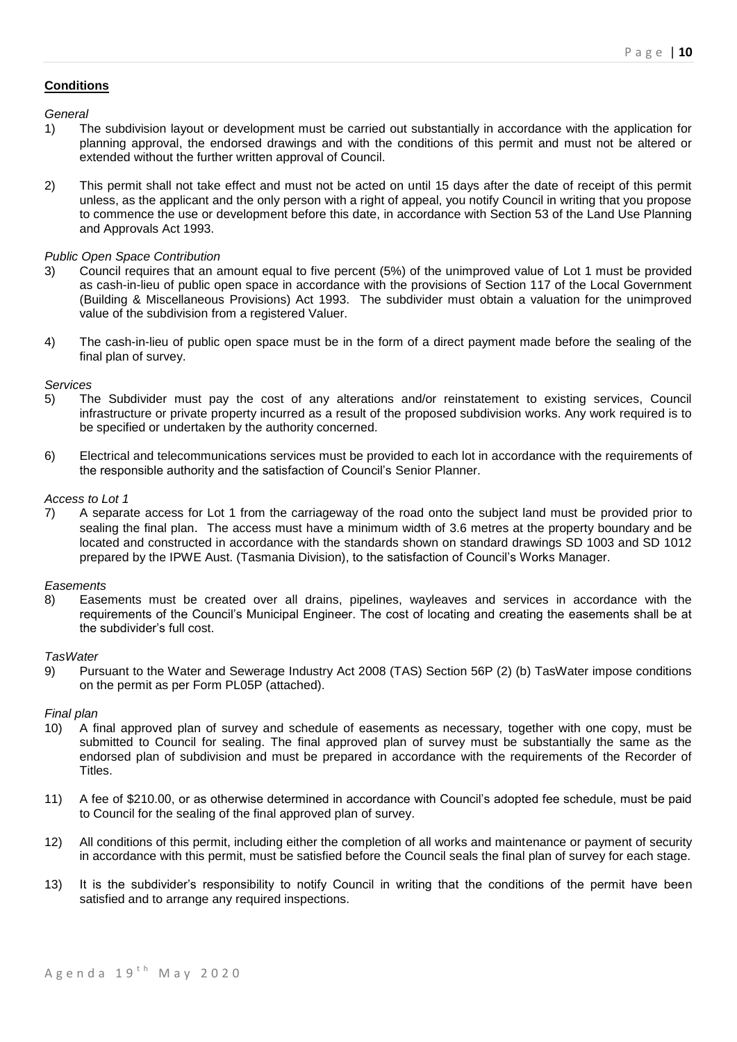#### **Conditions**

*General*

- 1) The subdivision layout or development must be carried out substantially in accordance with the application for planning approval, the endorsed drawings and with the conditions of this permit and must not be altered or extended without the further written approval of Council.
- 2) This permit shall not take effect and must not be acted on until 15 days after the date of receipt of this permit unless, as the applicant and the only person with a right of appeal, you notify Council in writing that you propose to commence the use or development before this date, in accordance with Section 53 of the Land Use Planning and Approvals Act 1993.

#### *Public Open Space Contribution*

- 3) Council requires that an amount equal to five percent (5%) of the unimproved value of Lot 1 must be provided as cash-in-lieu of public open space in accordance with the provisions of Section 117 of the Local Government (Building & Miscellaneous Provisions) Act 1993. The subdivider must obtain a valuation for the unimproved value of the subdivision from a registered Valuer.
- 4) The cash-in-lieu of public open space must be in the form of a direct payment made before the sealing of the final plan of survey.

#### *Services*

- 5) The Subdivider must pay the cost of any alterations and/or reinstatement to existing services, Council infrastructure or private property incurred as a result of the proposed subdivision works. Any work required is to be specified or undertaken by the authority concerned.
- 6) Electrical and telecommunications services must be provided to each lot in accordance with the requirements of the responsible authority and the satisfaction of Council's Senior Planner.

#### *Access to Lot 1*

7) A separate access for Lot 1 from the carriageway of the road onto the subject land must be provided prior to sealing the final plan. The access must have a minimum width of 3.6 metres at the property boundary and be located and constructed in accordance with the standards shown on standard drawings SD 1003 and SD 1012 prepared by the IPWE Aust. (Tasmania Division), to the satisfaction of Council's Works Manager.

#### *Easements*

8) Easements must be created over all drains, pipelines, wayleaves and services in accordance with the requirements of the Council's Municipal Engineer. The cost of locating and creating the easements shall be at the subdivider's full cost.

#### *TasWater*

9) Pursuant to the Water and Sewerage Industry Act 2008 (TAS) Section 56P (2) (b) TasWater impose conditions on the permit as per Form PL05P (attached).

#### *Final plan*

- 10) A final approved plan of survey and schedule of easements as necessary, together with one copy, must be submitted to Council for sealing. The final approved plan of survey must be substantially the same as the endorsed plan of subdivision and must be prepared in accordance with the requirements of the Recorder of Titles.
- 11) A fee of \$210.00, or as otherwise determined in accordance with Council's adopted fee schedule, must be paid to Council for the sealing of the final approved plan of survey.
- 12) All conditions of this permit, including either the completion of all works and maintenance or payment of security in accordance with this permit, must be satisfied before the Council seals the final plan of survey for each stage.
- 13) It is the subdivider's responsibility to notify Council in writing that the conditions of the permit have been satisfied and to arrange any required inspections.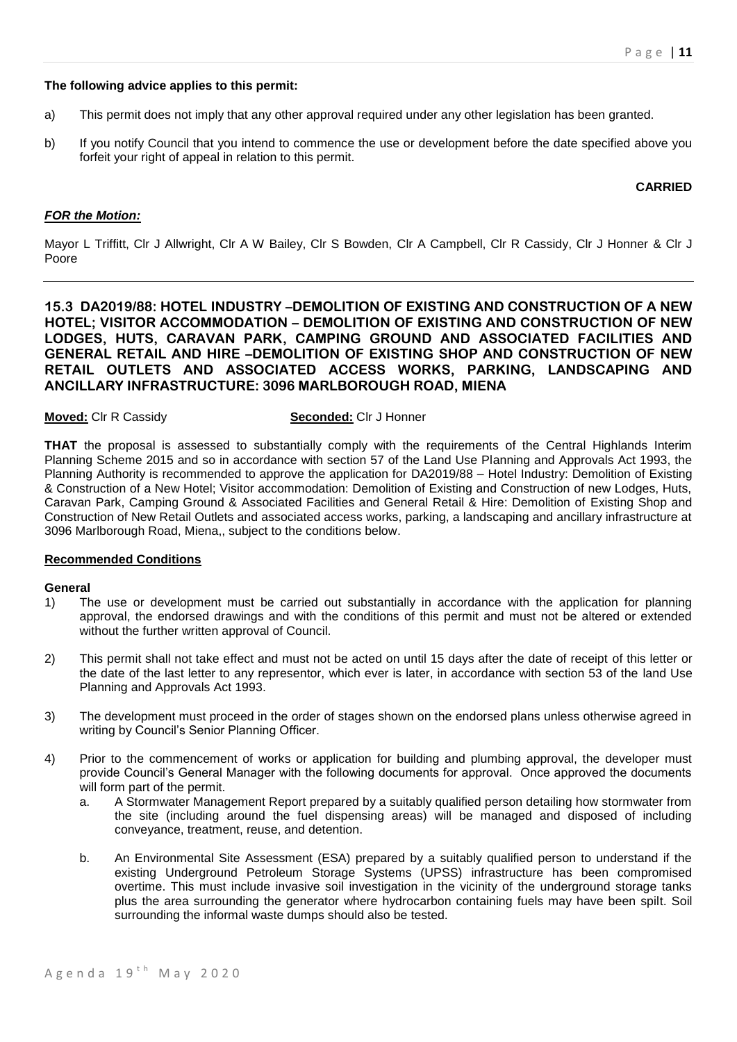### **The following advice applies to this permit:**

- a) This permit does not imply that any other approval required under any other legislation has been granted.
- b) If you notify Council that you intend to commence the use or development before the date specified above you forfeit your right of appeal in relation to this permit.

#### **CARRIED**

#### *FOR the Motion:*

Mayor L Triffitt, Clr J Allwright, Clr A W Bailey, Clr S Bowden, Clr A Campbell, Clr R Cassidy, Clr J Honner & Clr J Poore

**15.3 DA2019/88: HOTEL INDUSTRY –DEMOLITION OF EXISTING AND CONSTRUCTION OF A NEW HOTEL; VISITOR ACCOMMODATION – DEMOLITION OF EXISTING AND CONSTRUCTION OF NEW LODGES, HUTS, CARAVAN PARK, CAMPING GROUND AND ASSOCIATED FACILITIES AND GENERAL RETAIL AND HIRE –DEMOLITION OF EXISTING SHOP AND CONSTRUCTION OF NEW RETAIL OUTLETS AND ASSOCIATED ACCESS WORKS, PARKING, LANDSCAPING AND ANCILLARY INFRASTRUCTURE: 3096 MARLBOROUGH ROAD, MIENA** 

# **Moved:** Clr R Cassidy **Seconded:** Clr J Honner

**THAT** the proposal is assessed to substantially comply with the requirements of the Central Highlands Interim Planning Scheme 2015 and so in accordance with section 57 of the Land Use Planning and Approvals Act 1993, the Planning Authority is recommended to approve the application for DA2019/88 – Hotel Industry: Demolition of Existing & Construction of a New Hotel; Visitor accommodation: Demolition of Existing and Construction of new Lodges, Huts, Caravan Park, Camping Ground & Associated Facilities and General Retail & Hire: Demolition of Existing Shop and Construction of New Retail Outlets and associated access works, parking, a landscaping and ancillary infrastructure at 3096 Marlborough Road, Miena,, subject to the conditions below.

# **Recommended Conditions**

#### **General**

- 1) The use or development must be carried out substantially in accordance with the application for planning approval, the endorsed drawings and with the conditions of this permit and must not be altered or extended without the further written approval of Council.
- 2) This permit shall not take effect and must not be acted on until 15 days after the date of receipt of this letter or the date of the last letter to any representor, which ever is later, in accordance with section 53 of the land Use Planning and Approvals Act 1993.
- 3) The development must proceed in the order of stages shown on the endorsed plans unless otherwise agreed in writing by Council's Senior Planning Officer.
- 4) Prior to the commencement of works or application for building and plumbing approval, the developer must provide Council's General Manager with the following documents for approval. Once approved the documents will form part of the permit.
	- a. A Stormwater Management Report prepared by a suitably qualified person detailing how stormwater from the site (including around the fuel dispensing areas) will be managed and disposed of including conveyance, treatment, reuse, and detention.
	- b. An Environmental Site Assessment (ESA) prepared by a suitably qualified person to understand if the existing Underground Petroleum Storage Systems (UPSS) infrastructure has been compromised overtime. This must include invasive soil investigation in the vicinity of the underground storage tanks plus the area surrounding the generator where hydrocarbon containing fuels may have been spilt. Soil surrounding the informal waste dumps should also be tested.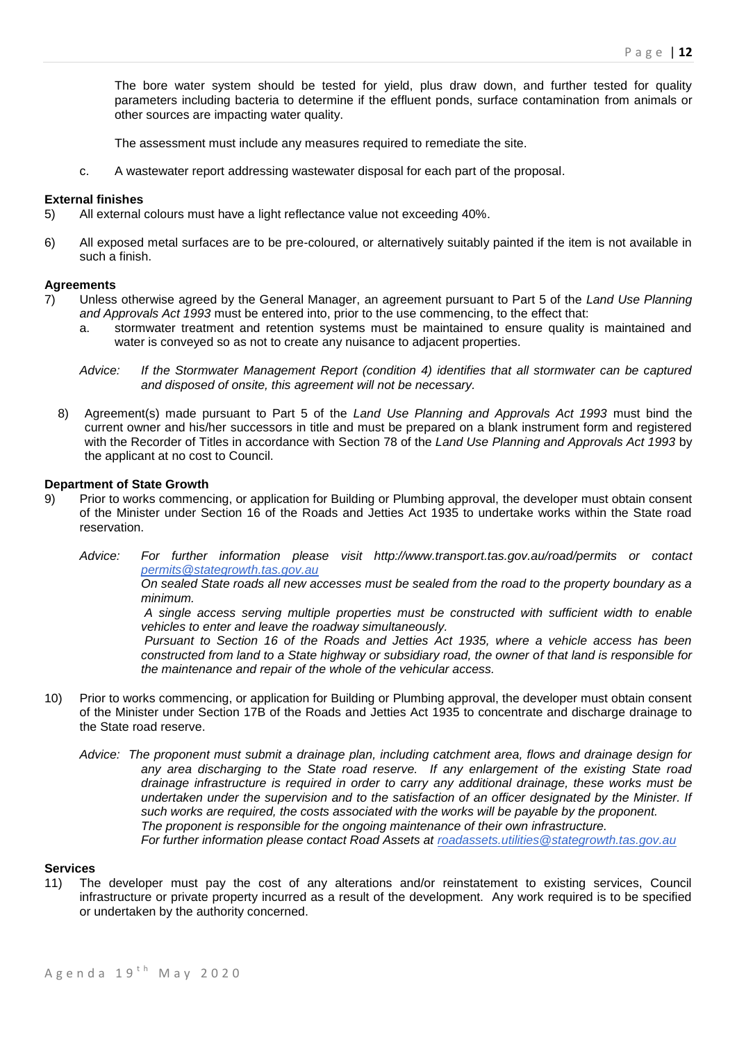The bore water system should be tested for yield, plus draw down, and further tested for quality parameters including bacteria to determine if the effluent ponds, surface contamination from animals or other sources are impacting water quality.

The assessment must include any measures required to remediate the site.

c. A wastewater report addressing wastewater disposal for each part of the proposal.

#### **External finishes**

- 5) All external colours must have a light reflectance value not exceeding 40%.
- 6) All exposed metal surfaces are to be pre-coloured, or alternatively suitably painted if the item is not available in such a finish.

#### **Agreements**

- 7) Unless otherwise agreed by the General Manager, an agreement pursuant to Part 5 of the *Land Use Planning and Approvals Act 1993* must be entered into, prior to the use commencing, to the effect that:
	- a. stormwater treatment and retention systems must be maintained to ensure quality is maintained and water is conveyed so as not to create any nuisance to adjacent properties.

*Advice: If the Stormwater Management Report (condition 4) identifies that all stormwater can be captured and disposed of onsite, this agreement will not be necessary.*

8) Agreement(s) made pursuant to Part 5 of the *Land Use Planning and Approvals Act 1993* must bind the current owner and his/her successors in title and must be prepared on a blank instrument form and registered with the Recorder of Titles in accordance with Section 78 of the *Land Use Planning and Approvals Act 1993* by the applicant at no cost to Council.

#### **Department of State Growth**

- 9) Prior to works commencing, or application for Building or Plumbing approval, the developer must obtain consent of the Minister under Section 16 of the Roads and Jetties Act 1935 to undertake works within the State road reservation.
	- *Advice: For further information please visit http://www.transport.tas.gov.au/road/permits or contact [permits@stategrowth.tas.gov.au](mailto:permits@stategrowth.tas.gov.au)*

*On sealed State roads all new accesses must be sealed from the road to the property boundary as a minimum.* 

*A single access serving multiple properties must be constructed with sufficient width to enable vehicles to enter and leave the roadway simultaneously.* 

*Pursuant to Section 16 of the Roads and Jetties Act 1935, where a vehicle access has been constructed from land to a State highway or subsidiary road, the owner of that land is responsible for the maintenance and repair of the whole of the vehicular access.*

- 10) Prior to works commencing, or application for Building or Plumbing approval, the developer must obtain consent of the Minister under Section 17B of the Roads and Jetties Act 1935 to concentrate and discharge drainage to the State road reserve.
	- *Advice: The proponent must submit a drainage plan, including catchment area, flows and drainage design for any area discharging to the State road reserve. If any enlargement of the existing State road drainage infrastructure is required in order to carry any additional drainage, these works must be undertaken under the supervision and to the satisfaction of an officer designated by the Minister. If such works are required, the costs associated with the works will be payable by the proponent. The proponent is responsible for the ongoing maintenance of their own infrastructure. For further information please contact Road Assets at [roadassets.utilities@stategrowth.tas.gov.au](mailto:roadassets.utilities@stategrowth.tas.gov.au)*

#### **Services**

11) The developer must pay the cost of any alterations and/or reinstatement to existing services, Council infrastructure or private property incurred as a result of the development. Any work required is to be specified or undertaken by the authority concerned.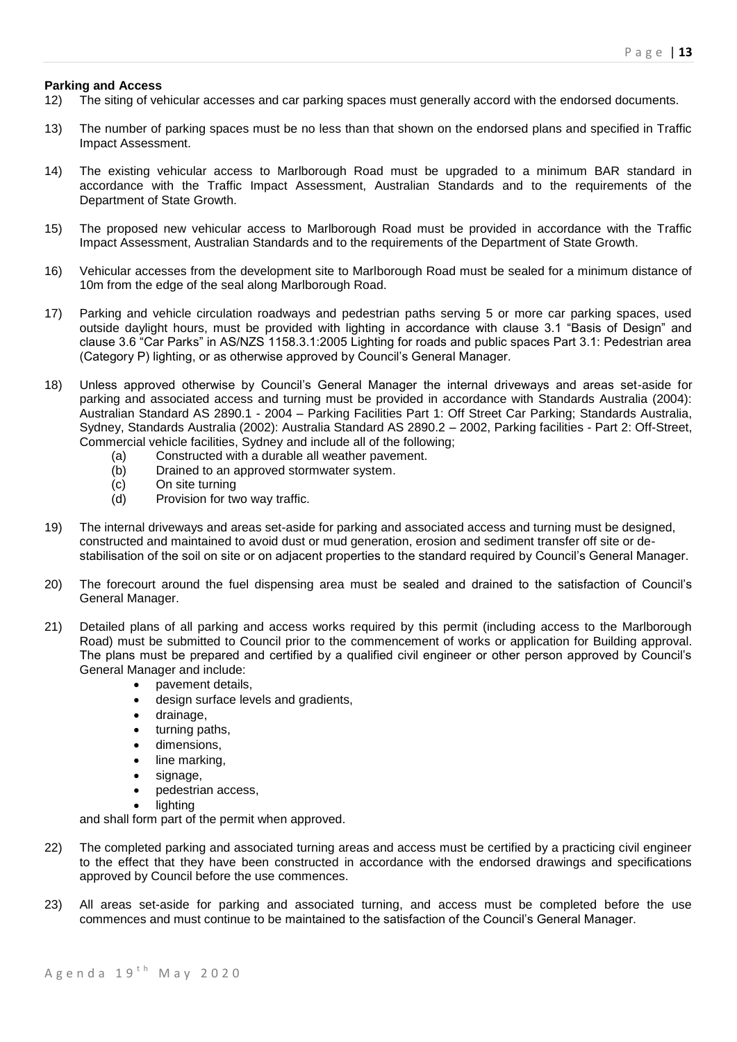### **Parking and Access**

- 12) The siting of vehicular accesses and car parking spaces must generally accord with the endorsed documents.
- 13) The number of parking spaces must be no less than that shown on the endorsed plans and specified in Traffic Impact Assessment.
- 14) The existing vehicular access to Marlborough Road must be upgraded to a minimum BAR standard in accordance with the Traffic Impact Assessment, Australian Standards and to the requirements of the Department of State Growth.
- 15) The proposed new vehicular access to Marlborough Road must be provided in accordance with the Traffic Impact Assessment, Australian Standards and to the requirements of the Department of State Growth.
- 16) Vehicular accesses from the development site to Marlborough Road must be sealed for a minimum distance of 10m from the edge of the seal along Marlborough Road.
- 17) Parking and vehicle circulation roadways and pedestrian paths serving 5 or more car parking spaces, used outside daylight hours, must be provided with lighting in accordance with clause 3.1 "Basis of Design" and clause 3.6 "Car Parks" in AS/NZS 1158.3.1:2005 Lighting for roads and public spaces Part 3.1: Pedestrian area (Category P) lighting, or as otherwise approved by Council's General Manager.
- 18) Unless approved otherwise by Council's General Manager the internal driveways and areas set-aside for parking and associated access and turning must be provided in accordance with Standards Australia (2004): Australian Standard AS 2890.1 - 2004 – Parking Facilities Part 1: Off Street Car Parking; Standards Australia, Sydney, Standards Australia (2002): Australia Standard AS 2890.2 – 2002, Parking facilities - Part 2: Off-Street, Commercial vehicle facilities, Sydney and include all of the following;
	- (a) Constructed with a durable all weather pavement.
	- (b) Drained to an approved stormwater system.
	- (c) On site turning<br>(d) Provision for tw
	- Provision for two way traffic.
- 19) The internal driveways and areas set-aside for parking and associated access and turning must be designed, constructed and maintained to avoid dust or mud generation, erosion and sediment transfer off site or destabilisation of the soil on site or on adjacent properties to the standard required by Council's General Manager.
- 20) The forecourt around the fuel dispensing area must be sealed and drained to the satisfaction of Council's General Manager.
- 21) Detailed plans of all parking and access works required by this permit (including access to the Marlborough Road) must be submitted to Council prior to the commencement of works or application for Building approval. The plans must be prepared and certified by a qualified civil engineer or other person approved by Council's General Manager and include:
	- pavement details,
	- design surface levels and gradients,
	- drainage.
	- turning paths,
	- dimensions,
	- line marking,
	- signage,
	- pedestrian access,
		- lighting

and shall form part of the permit when approved.

- 22) The completed parking and associated turning areas and access must be certified by a practicing civil engineer to the effect that they have been constructed in accordance with the endorsed drawings and specifications approved by Council before the use commences.
- 23) All areas set-aside for parking and associated turning, and access must be completed before the use commences and must continue to be maintained to the satisfaction of the Council's General Manager.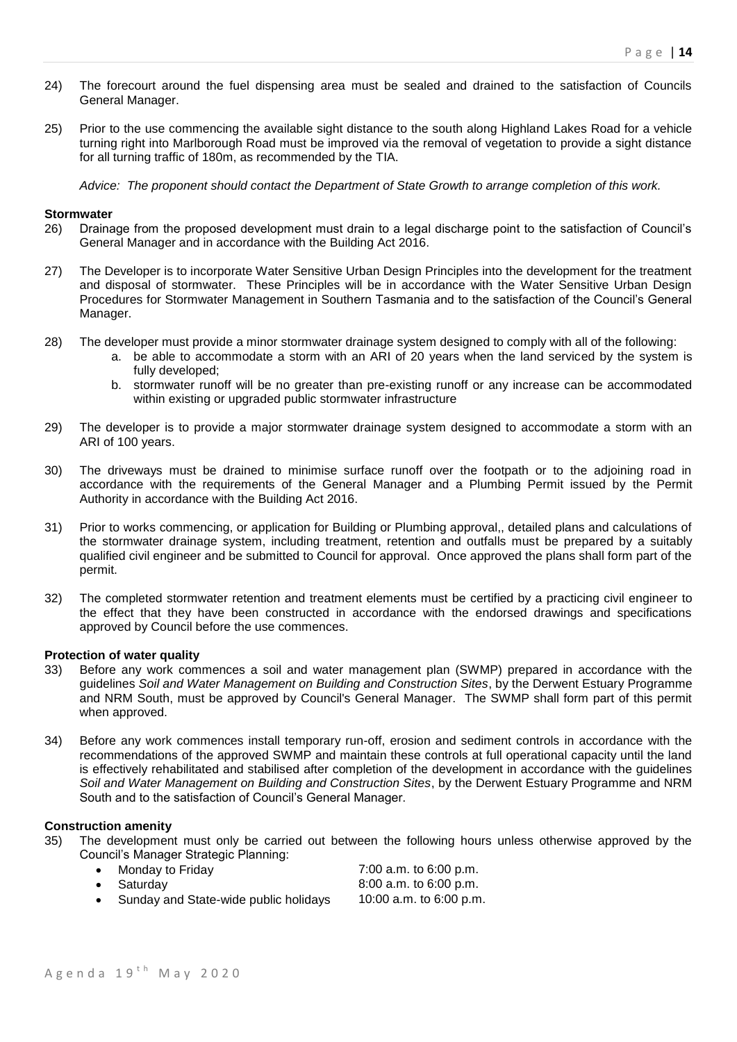- 24) The forecourt around the fuel dispensing area must be sealed and drained to the satisfaction of Councils General Manager.
- 25) Prior to the use commencing the available sight distance to the south along Highland Lakes Road for a vehicle turning right into Marlborough Road must be improved via the removal of vegetation to provide a sight distance for all turning traffic of 180m, as recommended by the TIA.

*Advice: The proponent should contact the Department of State Growth to arrange completion of this work.*

#### **Stormwater**

- 26) Drainage from the proposed development must drain to a legal discharge point to the satisfaction of Council's General Manager and in accordance with the Building Act 2016.
- 27) The Developer is to incorporate Water Sensitive Urban Design Principles into the development for the treatment and disposal of stormwater. These Principles will be in accordance with the Water Sensitive Urban Design Procedures for Stormwater Management in Southern Tasmania and to the satisfaction of the Council's General Manager.
- 28) The developer must provide a minor stormwater drainage system designed to comply with all of the following:
	- a. be able to accommodate a storm with an ARI of 20 years when the land serviced by the system is fully developed;
	- b. stormwater runoff will be no greater than pre-existing runoff or any increase can be accommodated within existing or upgraded public stormwater infrastructure
- 29) The developer is to provide a major stormwater drainage system designed to accommodate a storm with an ARI of 100 years.
- 30) The driveways must be drained to minimise surface runoff over the footpath or to the adjoining road in accordance with the requirements of the General Manager and a Plumbing Permit issued by the Permit Authority in accordance with the Building Act 2016.
- 31) Prior to works commencing, or application for Building or Plumbing approval,, detailed plans and calculations of the stormwater drainage system, including treatment, retention and outfalls must be prepared by a suitably qualified civil engineer and be submitted to Council for approval. Once approved the plans shall form part of the permit.
- 32) The completed stormwater retention and treatment elements must be certified by a practicing civil engineer to the effect that they have been constructed in accordance with the endorsed drawings and specifications approved by Council before the use commences.

#### **Protection of water quality**

- 33) Before any work commences a soil and water management plan (SWMP) prepared in accordance with the guidelines *Soil and Water Management on Building and Construction Sites*, by the Derwent Estuary Programme and NRM South, must be approved by Council's General Manager. The SWMP shall form part of this permit when approved.
- 34) Before any work commences install temporary run-off, erosion and sediment controls in accordance with the recommendations of the approved SWMP and maintain these controls at full operational capacity until the land is effectively rehabilitated and stabilised after completion of the development in accordance with the guidelines *Soil and Water Management on Building and Construction Sites*, by the Derwent Estuary Programme and NRM South and to the satisfaction of Council's General Manager.

# **Construction amenity**

- 35) The development must only be carried out between the following hours unless otherwise approved by the Council's Manager Strategic Planning:
	- Monday to Friday **Figure 1.1 and T** 200 a.m. to 6:00 p.m. Saturday 8:00 a.m. to 6:00 p.m.
	- Sunday and State-wide public holidays 10:00 a.m. to 6:00 p.m.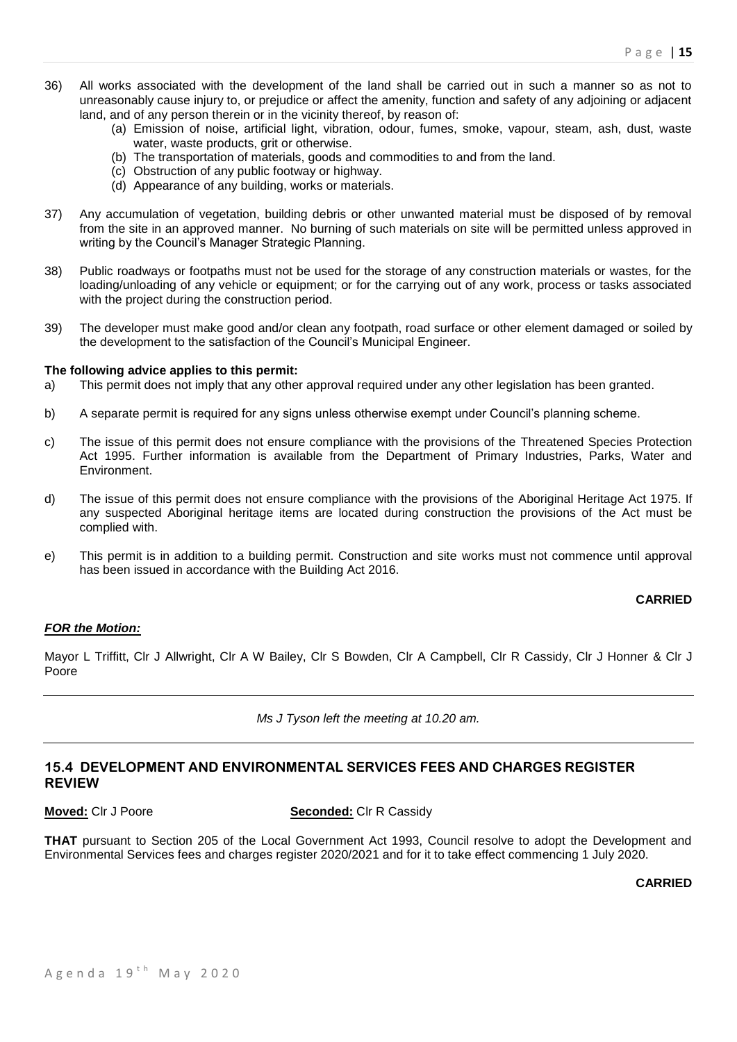- 36) All works associated with the development of the land shall be carried out in such a manner so as not to unreasonably cause injury to, or prejudice or affect the amenity, function and safety of any adjoining or adjacent land, and of any person therein or in the vicinity thereof, by reason of:
	- (a) Emission of noise, artificial light, vibration, odour, fumes, smoke, vapour, steam, ash, dust, waste water, waste products, grit or otherwise.
	- (b) The transportation of materials, goods and commodities to and from the land.
	- (c) Obstruction of any public footway or highway.
	- (d) Appearance of any building, works or materials.
- 37) Any accumulation of vegetation, building debris or other unwanted material must be disposed of by removal from the site in an approved manner. No burning of such materials on site will be permitted unless approved in writing by the Council's Manager Strategic Planning.
- 38) Public roadways or footpaths must not be used for the storage of any construction materials or wastes, for the loading/unloading of any vehicle or equipment; or for the carrying out of any work, process or tasks associated with the project during the construction period.
- 39) The developer must make good and/or clean any footpath, road surface or other element damaged or soiled by the development to the satisfaction of the Council's Municipal Engineer.

#### **The following advice applies to this permit:**

- a) This permit does not imply that any other approval required under any other legislation has been granted.
- b) A separate permit is required for any signs unless otherwise exempt under Council's planning scheme.
- c) The issue of this permit does not ensure compliance with the provisions of the Threatened Species Protection Act 1995. Further information is available from the Department of Primary Industries, Parks, Water and Environment.
- d) The issue of this permit does not ensure compliance with the provisions of the Aboriginal Heritage Act 1975. If any suspected Aboriginal heritage items are located during construction the provisions of the Act must be complied with.
- e) This permit is in addition to a building permit. Construction and site works must not commence until approval has been issued in accordance with the Building Act 2016.

# **CARRIED**

# *FOR the Motion:*

Mayor L Triffitt, Clr J Allwright, Clr A W Bailey, Clr S Bowden, Clr A Campbell, Clr R Cassidy, Clr J Honner & Clr J Poore

*Ms J Tyson left the meeting at 10.20 am.*

# **15.4 DEVELOPMENT AND ENVIRONMENTAL SERVICES FEES AND CHARGES REGISTER REVIEW**

**Moved:** Clr J Poore **Seconded:** Clr R Cassidy

**THAT** pursuant to Section 205 of the Local Government Act 1993, Council resolve to adopt the Development and Environmental Services fees and charges register 2020/2021 and for it to take effect commencing 1 July 2020.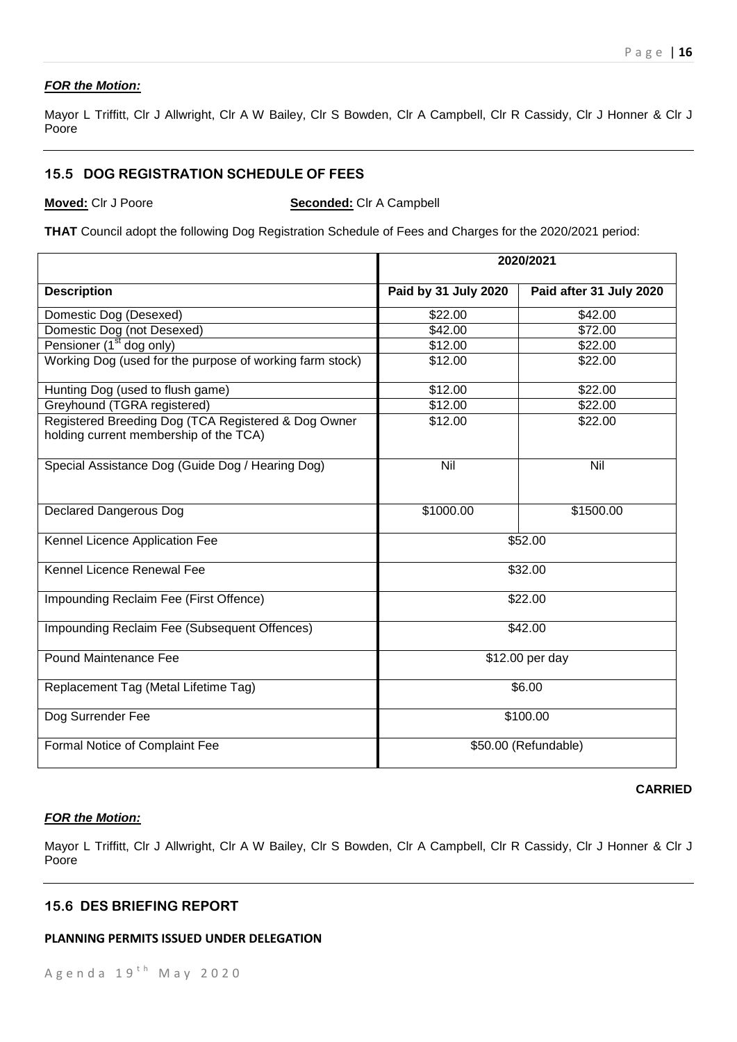# *FOR the Motion:*

Mayor L Triffitt, Clr J Allwright, Clr A W Bailey, Clr S Bowden, Clr A Campbell, Clr R Cassidy, Clr J Honner & Clr J Poore

# **15.5 DOG REGISTRATION SCHEDULE OF FEES**

**Moved:** Clr J Poore **Seconded:** Clr A Campbell

**THAT** Council adopt the following Dog Registration Schedule of Fees and Charges for the 2020/2021 period:

|                                                                                               | 2020/2021            |                         |
|-----------------------------------------------------------------------------------------------|----------------------|-------------------------|
| <b>Description</b>                                                                            | Paid by 31 July 2020 | Paid after 31 July 2020 |
| Domestic Dog (Desexed)                                                                        | \$22.00              | \$42.00                 |
| Domestic Dog (not Desexed)                                                                    | \$42.00              | \$72.00                 |
| Pensioner (1 <sup>st</sup> dog only)                                                          | \$12.00              | \$22.00                 |
| Working Dog (used for the purpose of working farm stock)                                      | \$12.00              | \$22.00                 |
| Hunting Dog (used to flush game)                                                              | \$12.00              | \$22.00                 |
| Greyhound (TGRA registered)                                                                   | \$12.00              | \$22.00                 |
| Registered Breeding Dog (TCA Registered & Dog Owner<br>holding current membership of the TCA) | \$12.00              | \$22.00                 |
| Special Assistance Dog (Guide Dog / Hearing Dog)                                              | Nil                  | Nil                     |
| <b>Declared Dangerous Dog</b>                                                                 | \$1000.00            | \$1500.00               |
| Kennel Licence Application Fee                                                                |                      | \$52.00                 |
| Kennel Licence Renewal Fee                                                                    | \$32.00              |                         |
| Impounding Reclaim Fee (First Offence)                                                        | \$22.00              |                         |
| Impounding Reclaim Fee (Subsequent Offences)                                                  | \$42.00              |                         |
| Pound Maintenance Fee                                                                         | \$12.00 per day      |                         |
| Replacement Tag (Metal Lifetime Tag)                                                          | \$6.00               |                         |
| Dog Surrender Fee                                                                             | \$100.00             |                         |
| Formal Notice of Complaint Fee                                                                | \$50.00 (Refundable) |                         |

#### **CARRIED**

# *FOR the Motion:*

Mayor L Triffitt, Clr J Allwright, Clr A W Bailey, Clr S Bowden, Clr A Campbell, Clr R Cassidy, Clr J Honner & Clr J Poore

# **15.6 DES BRIEFING REPORT**

#### **PLANNING PERMITS ISSUED UNDER DELEGATION**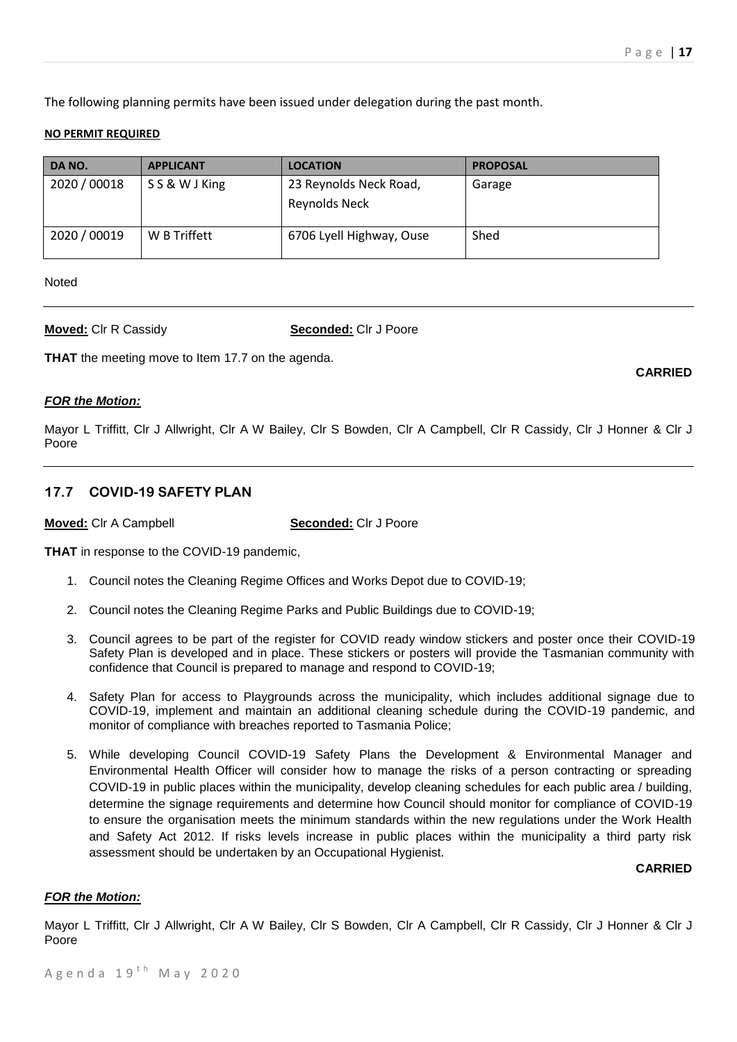**CARRIED**

The following planning permits have been issued under delegation during the past month.

#### **NO PERMIT REQUIRED**

| DA NO.       | <b>APPLICANT</b> | <b>LOCATION</b>          | <b>PROPOSAL</b> |
|--------------|------------------|--------------------------|-----------------|
| 2020 / 00018 | SS&WJKing        | 23 Reynolds Neck Road,   | Garage          |
|              |                  | Reynolds Neck            |                 |
| 2020 / 00019 | W B Triffett     | 6706 Lyell Highway, Ouse | Shed            |

Noted

**Moved:** Clr R Cassidy **Seconded:** Clr J Poore

**THAT** the meeting move to Item 17.7 on the agenda.

# *FOR the Motion:*

Mayor L Triffitt, Clr J Allwright, Clr A W Bailey, Clr S Bowden, Clr A Campbell, Clr R Cassidy, Clr J Honner & Clr J Poore

# **17.7 COVID-19 SAFETY PLAN**

**Moved:** Clr A Campbell **Seconded:** Clr J Poore

**THAT** in response to the COVID-19 pandemic,

- 1. Council notes the Cleaning Regime Offices and Works Depot due to COVID-19;
- 2. Council notes the Cleaning Regime Parks and Public Buildings due to COVID-19;
- 3. Council agrees to be part of the register for COVID ready window stickers and poster once their COVID-19 Safety Plan is developed and in place. These stickers or posters will provide the Tasmanian community with confidence that Council is prepared to manage and respond to COVID-19;
- 4. Safety Plan for access to Playgrounds across the municipality, which includes additional signage due to COVID-19, implement and maintain an additional cleaning schedule during the COVID-19 pandemic, and monitor of compliance with breaches reported to Tasmania Police;
- 5. While developing Council COVID-19 Safety Plans the Development & Environmental Manager and Environmental Health Officer will consider how to manage the risks of a person contracting or spreading COVID-19 in public places within the municipality, develop cleaning schedules for each public area / building, determine the signage requirements and determine how Council should monitor for compliance of COVID-19 to ensure the organisation meets the minimum standards within the new regulations under the Work Health and Safety Act 2012. If risks levels increase in public places within the municipality a third party risk assessment should be undertaken by an Occupational Hygienist.

# **CARRIED**

# *FOR the Motion:*

Mayor L Triffitt, Clr J Allwright, Clr A W Bailey, Clr S Bowden, Clr A Campbell, Clr R Cassidy, Clr J Honner & Clr J Poore

Agenda  $19<sup>th</sup>$  May 2020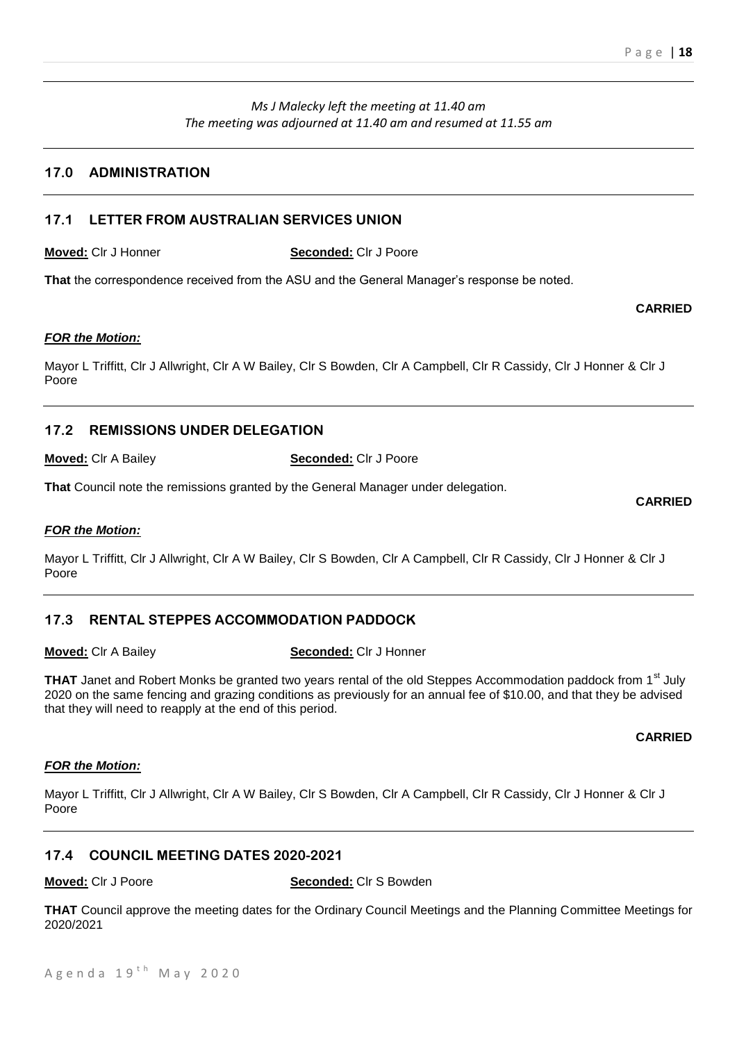# *Ms J Malecky left the meeting at 11.40 am The meeting was adjourned at 11.40 am and resumed at 11.55 am*

# **17.0 ADMINISTRATION**

# **17.1 LETTER FROM AUSTRALIAN SERVICES UNION**

**Moved:** Clr J Honner **Seconded:** Clr J Poore

**That** the correspondence received from the ASU and the General Manager's response be noted.

#### *FOR the Motion:*

Mayor L Triffitt, Clr J Allwright, Clr A W Bailey, Clr S Bowden, Clr A Campbell, Clr R Cassidy, Clr J Honner & Clr J Poore

# **17.2 REMISSIONS UNDER DELEGATION**

**Moved:** Clr A Bailey **Seconded:** Clr J Poore

**That** Council note the remissions granted by the General Manager under delegation.

#### *FOR the Motion:*

Mayor L Triffitt, Clr J Allwright, Clr A W Bailey, Clr S Bowden, Clr A Campbell, Clr R Cassidy, Clr J Honner & Clr J Poore

# **17.3 RENTAL STEPPES ACCOMMODATION PADDOCK**

**Moved:** Clr A Bailey **Seconded:** Clr J Honner

**THAT** Janet and Robert Monks be granted two years rental of the old Steppes Accommodation paddock from 1<sup>st</sup> July 2020 on the same fencing and grazing conditions as previously for an annual fee of \$10.00, and that they be advised that they will need to reapply at the end of this period.

# *FOR the Motion:*

Mayor L Triffitt, Clr J Allwright, Clr A W Bailey, Clr S Bowden, Clr A Campbell, Clr R Cassidy, Clr J Honner & Clr J Poore

# **17.4 COUNCIL MEETING DATES 2020-2021**

#### **Moved:** Clr J Poore **Seconded:** Clr S Bowden

**THAT** Council approve the meeting dates for the Ordinary Council Meetings and the Planning Committee Meetings for 2020/2021

**CARRIED**

# **CARRIED**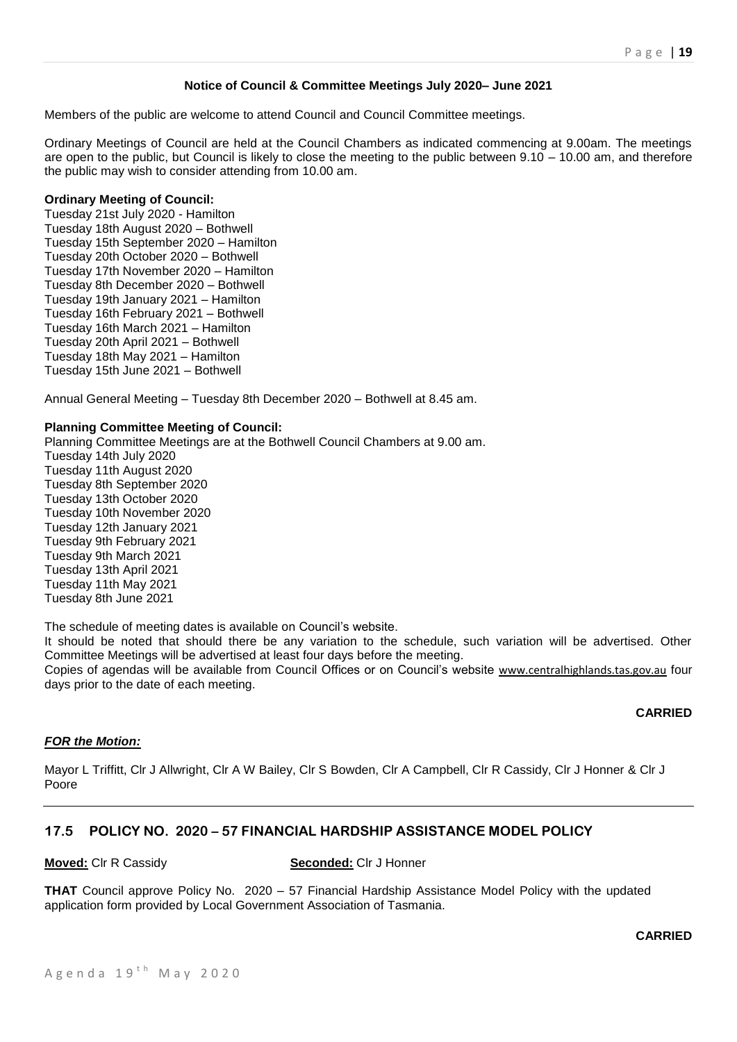# **Notice of Council & Committee Meetings July 2020– June 2021**

Members of the public are welcome to attend Council and Council Committee meetings.

Ordinary Meetings of Council are held at the Council Chambers as indicated commencing at 9.00am. The meetings are open to the public, but Council is likely to close the meeting to the public between 9.10 – 10.00 am, and therefore the public may wish to consider attending from 10.00 am.

#### **Ordinary Meeting of Council:**

Tuesday 21st July 2020 - Hamilton Tuesday 18th August 2020 – Bothwell Tuesday 15th September 2020 – Hamilton Tuesday 20th October 2020 – Bothwell Tuesday 17th November 2020 – Hamilton Tuesday 8th December 2020 – Bothwell Tuesday 19th January 2021 – Hamilton Tuesday 16th February 2021 – Bothwell Tuesday 16th March 2021 – Hamilton Tuesday 20th April 2021 – Bothwell Tuesday 18th May 2021 – Hamilton Tuesday 15th June 2021 – Bothwell

Annual General Meeting – Tuesday 8th December 2020 – Bothwell at 8.45 am.

#### **Planning Committee Meeting of Council:**

Planning Committee Meetings are at the Bothwell Council Chambers at 9.00 am. Tuesday 14th July 2020 Tuesday 11th August 2020 Tuesday 8th September 2020 Tuesday 13th October 2020 Tuesday 10th November 2020 Tuesday 12th January 2021 Tuesday 9th February 2021 Tuesday 9th March 2021 Tuesday 13th April 2021 Tuesday 11th May 2021 Tuesday 8th June 2021

The schedule of meeting dates is available on Council's website.

It should be noted that should there be any variation to the schedule, such variation will be advertised. Other Committee Meetings will be advertised at least four days before the meeting.

Copies of agendas will be available from Council Offices or on Council's website [www.centralhighlands.tas.gov.au](http://www.centralhighlands.tas.gov.au/) four days prior to the date of each meeting.

# **CARRIED**

#### *FOR the Motion:*

Mayor L Triffitt, Clr J Allwright, Clr A W Bailey, Clr S Bowden, Clr A Campbell, Clr R Cassidy, Clr J Honner & Clr J Poore

# **17.5 POLICY NO. 2020 – 57 FINANCIAL HARDSHIP ASSISTANCE MODEL POLICY**

#### **Moved:** Clr R Cassidy **Seconded:** Clr J Honner

**THAT** Council approve Policy No. 2020 – 57 Financial Hardship Assistance Model Policy with the updated application form provided by Local Government Association of Tasmania.